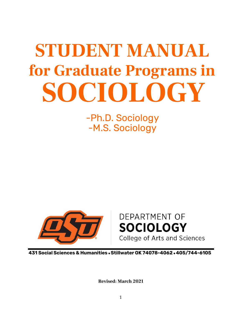# **SOCIOLOGY STUDENT MANUAL for Graduate Programs in**

-Ph.D. Sociology -M.S. Sociology



# **DEPARTMENT OF SOCIOLOGY** College of Arts and Sciences

**431 Social Sciences & Humanities** •**Stillwater OK 74078-4062** •**405/744-6105** 

**Revised: March 2021**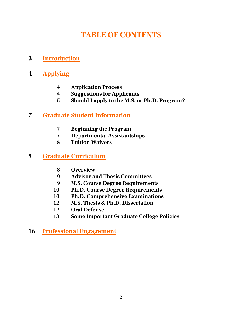# **TABLE OF CONTENTS**

# **3 Introduction**

# **4 Applying**

- **4 Application Process**
- **4 Suggestions for Applicants**
- **5 Should I apply to the M.S. or Ph.D. Program?**

# **7 Graduate Student Information**

- **7 Beginning the Program**
- **7 Departmental Assistantships**
- **8 Tuition Waivers**

## **8 Graduate Curriculum**

- **8 Overview**
- **9 Advisor and Thesis Committees**
- **9 M.S. Course Degree Requirements**
- **10 Ph.D. Course Degree Requirements**
- **10 Ph.D. Comprehensive Examinations**
- **12 M.S. Thesis & Ph.D. Dissertation**
- **12 Oral Defense**
- **13 Some Important Graduate College Policies**
- **16 Professional Engagement**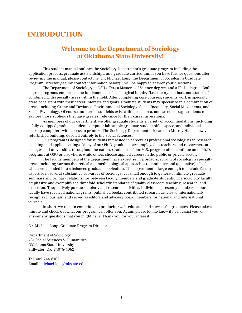# **INTRODUCTION**

## **Welcome to the Department of Sociology at Oklahoma State University!**

This student manual outlines the Sociology Department's graduate program including the application process, graduate assistantships, and graduate curriculum. If you have further questions after reviewing the manual, please contact me, Dr. Michael Long, the Department of Sociology's Graduate Program Director (see my contact information below). I will be happy to answer your questions.

The Department of Sociology at OSU offers a Master's of Science degree, and a Ph.D. degree. Both degree programs emphasize the fundamentals of sociological inquiry (i.e., theory, methods and statistics) combined with specialty areas within the field. After completing core courses, students work in specialty areas consistent with their career interests and goals. Graduate students may specialize in a combination of areas, including Crime and Deviance, Environmental Sociology, Social Inequality, Social Movements, and Social Psychology. Of course, numerous subfields exist within each area, and we encourage students to explore those subfields that have greatest relevance for their career aspirations.

As members of our department, we offer graduate students a variety of accommodations, including a fully-equipped graduate student computer lab, ample graduate student office space, and individual desktop computers with access to printers. The Sociology Department is located in Murray Hall, a newlyrefurbished building, devoted entirely to the Social Sciences.

Our program is designed for students interested in careers as professional sociologists in research, teaching, and applied settings. Many of our Ph.D. graduates are employed as teachers and researchers at colleges and universities throughout the nation. Graduates of our M.S. program often continue on to Ph.D. programs at OSU or elsewhere, while others choose applied careers in the public or private sector.

The faculty members of the department have expertise in a broad spectrum of sociology's specialty areas, including various theoretical and methodological approaches (quantitative and qualitative), all of which are blended into a balanced graduate curriculum. The department is large enough to include faculty expertise in several substantive sub-areas of sociology, yet small enough to generate intimate graduate seminars and primary relationships between faculty members and graduate students. The sociology faculty emphasize and exemplify the threefold scholarly standards of quality classroom teaching, research, and extension. They actively pursue scholarly and research activities. Individuals presently members of our faculty have received national grants, published books, contributed research articles to internationally recognized journals, and served as editors and advisory board members for national and international journals.

In short, we remain committed to producing well-educated and successful graduates. Please take a minute and check out what our program can offer you. Again, please let me know if I can assist you, or answer any questions that you might have. Thank you for your interest!

Dr. Michael Long, Graduate Program Director

Department of Sociology 431 Social Sciences & Humanities Oklahoma State University Stillwater, OK 74078-4062

Tel: 405-744-6105 Email: michael.long@okstate.edu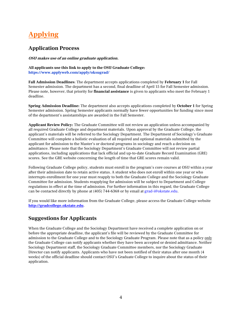# **Applying**

### **Application Process**

**OSU makes use of an online graduate application.** 

**All applicants use this link to apply to the OSU Graduate College: <https://www.applyweb.com/apply/oksugrad/>**

**Fall Admission Deadlines**: The department accepts applications completed by **February 1** for Fall Semester admission. The department has a second, final deadline of April 15 for Fall Semester admission. Please note, however, that priority for **financial assistance** is given to applicants who meet the February 1 deadline.

**Spring Admission Deadline:** The department also accepts applications completed by **October 1** for Spring Semester admission. Spring Semester applicants normally have fewer opportunities for funding since most of the department's assistantships are awarded in the Fall Semester.

**Applicant Review Policy:** The Graduate Committee will not review an application unless accompanied by all required Graduate College and department materials. Upon approval by the Graduate College, the applicant's materials will be referred to the Sociology Department. The Department of Sociology's Graduate Committee will complete a holistic evaluation of all required and optional materials submitted by the applicant for admission to the Master's or doctoral programs in sociology and reach a decision on admittance. Please note that the Sociology Department's Graduate Committee will not review partial applications, including applications that lack official and up-to-date Graduate Record Examination (GRE) scores. See the GRE website concerning the length of time that GRE scores remain valid.

Following Graduate College policy, students must enroll in the program's core courses at OSU within a year after their admission date to retain active status. A student who does not enroll within one year or who interrupts enrollment for one year must reapply to both the Graduate College and the Sociology Graduate Committee for admission. Students reapplying for admission will be subject to Department and College regulations in effect at the time of admission. For further information in this regard, the Graduate College can be contacted directly by phone at (405) 744-6368 or by email at grad-i@okstate.edu.

[If you would like mor](mailto:grad-i@okstate.edu)e information from the Graduate College, please access the Graduate College website **[http://gradcollege.okstate.edu](http://gradcollege.okstate.edu/)**.

## **Suggestions for Applicants**

When the Graduate College and the Sociology Department have received a complete application on or before the appropriate deadline, the applicant's file will be reviewed by the Graduate Committee for admission to the Graduate College and to the Sociology Graduate Program. Please note that as a policy only the Graduate College can notify applicants whether they have been accepted or denied admittance. Neither Sociology Department staff, the Sociology Graduate Committee members, nor the Sociology Graduate Director can notify applicants. Applicants who have not been notified of their status after one month (4 weeks) of the official deadline should contact OSU's Graduate College to inquire about the status of their application.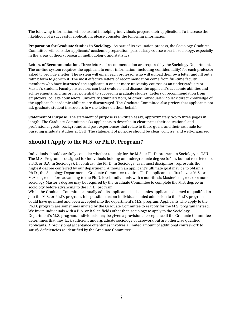The following information will be useful in helping individuals prepare their application. To increase the likelihood of a successful application, please consider the following information:

**Preparation for Graduate Studies in Sociology.** As part of its evaluation process, the Sociology Graduate Committee will consider applicants' academic preparation, particularly course work in sociology, especially in the areas of theory, research methodology, and statistics.

**Letters of Recommendation.** Three letters of recommendation are required by the Sociology Department. The on-line system requires the applicant to enter information (including confidentiality) for each professor asked to provide a letter. The system will email each professor who will upload their own letter and fill out a rating form to go with it. The most effective letters of recommendation come from full-time faculty members who have instructed the applicant in one or more university courses as an undergraduate or Master's student. Faculty instructors can best evaluate and discuss the applicant's academic abilities and achievements, and his or her potential to succeed in graduate studies. Letters of recommendation from employers, college counselors, university administrators, or other individuals who lack direct knowledge of the applicant's academic abilities are discouraged. The Graduate Committee also prefers that applicants not ask graduate student instructors to write letters on their behalf.

**Statement of Purpose.** The statement of purpose is a written essay, approximately two to three pages in length. The Graduate Committee asks applicants to describe in clear terms their educational and professional goals, background and past experiences that relate to these goals, and their rationale for pursuing graduate studies at OSU. The statement of purpose should be clear, concise, and well-organized.

### **Should I Apply to the M.S. or Ph.D. Program?**

Individuals should carefully consider whether to apply for the M.S. or Ph.D. program in Sociology at OSU. The M.S. Program is designed for individuals holding an undergraduate degree (often, but not restricted to, a B.S. or B.A. in Sociology). In contrast, the Ph.D. in Sociology, as in most disciplines, represents the highest degree conferred by our department. Although an applicant's ultimate goal may be to obtain a Ph.D., the Sociology Department's Graduate Committee requires Ph.D. applicants to first have a M.S. or M.A. degree before advancing to the Ph.D. level. Individuals with a non-thesis Master's degree, or a nonsociology Master's degree may be required by the Graduate Committee to complete the M.S. degree in sociology before advancing to the Ph.D. program.

While the Graduate Committee annually admits applicants, it also denies applicants deemed unqualified to join the M.S. or Ph.D. program. It is possible that an individual denied admission to the Ph.D. program could have qualified and been accepted into the department's M.S. program. Applicants who apply to the Ph.D. program are sometimes invited by the Graduate Committee to reapply for the M.S. program instead. We invite individuals with a B.A. or B.S. in fields other than sociology to apply to the Sociology Department's M.S. program. Individuals may be given a provisional acceptance if the Graduate Committee determines that they lack sufficient undergraduate sociology coursework but are otherwise qualified applicants. A provisional acceptance oftentimes involves a limited amount of additional coursework to satisfy deficiencies as identified by the Graduate Committee.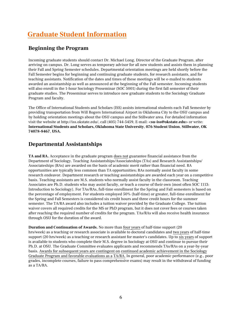# **Graduate Student Information**

### **Beginning the Program**

Incoming graduate students should contact Dr. Michael Long, Director of the Graduate Program, after arriving on campus. Dr. Long serves as temporary advisor for all new students and assists them in planning their Fall and Spring Semester schedules. Departmental orientation meetings are held shortly before the Fall Semester begins for beginning and continuing graduate students, for research assistants, and for teaching assistants. Notification of the dates and times of these meetings will be e-mailed to students awarded an assistantship as well as announced at the beginning of the Fall semester. Incoming students will also enroll in the 1-hour Sociology Proseminar (SOC 5001) during the first fall semester of their graduate studies. The Proseminar serves to introduce new graduate students to the Sociology Graduate Program and faculty.

The Office of International Students and Scholars (ISS) assists international students each Fall Semester by providing transportation from Will Rogers International Airport in Oklahoma City to the OSU campus and by holding orientation meetings about the OSU campus and the Stillwater area. For detailed information visit the website at http://iss.okstate.edu/, call (405) 744-5459, E-mail: <**su-iss@okstate.edu**> or write: **International Students and Scholars, Oklahoma State University**, **076 Student Union**, **Stillwater, OK 74078-8467**, **USA.** 

### **Departmental Assistantships**

**TA and RA.** Acceptance in the graduate program does not guarantee financial assistance from the Department of Sociology. Teaching Assistantships/Associateships (TAs) and Research Assistantships/ Associateships (RAs) are awarded on the basis of academic merit rather than financial need. RA opportunities are typically less common than TA opportunities; RAs normally assist faculty in some research endeavor. Department research or teaching assistantships are awarded each year on a competitive basis. Teaching assistants are M.S. students who normally assist faculty in the classroom. Teaching Associates are Ph.D. students who may assist faculty, or teach a course of their own (most often SOC 1113: Introduction to Sociology). For TAs/RAs, full-time enrollment for the Spring and Fall semesters is based on the percentage of employment. For students employed 50% (half-time) or greater, full-time enrollment for the Spring and Fall Semesters is considered six credit hours and three credit hours for the summer semester. The TA/RA award also includes a tuition waiver provided by the Graduate College. The tuition waiver covers all required credits for the MS or PhD program, but it does not cover fees or courses taken after reaching the required number of credits for the program. TAs/RAs will also receive health insurance through OSU for the duration of the award.

**Duration and Continuation of Awards.** No more than four years of half-time support (20 hrs/week) as a teaching or research associate is available to doctoral candidates and two years of half-time support (20 hrs/week) as a teaching or research assistant for master's candidates. Up to six years of support is available to students who complete their M.S. degree in Sociology at OSU and continue to pursue their Ph.D. at OSU. The Graduate Committee evaluates applicants and recommends TAs/RAs on a year-by-year basis. Awards for subsequent years are contingent on continued academic achievement in the Sociology Graduate Program and favorable evaluations as a TA/RA. In general, poor academic performance (e.g., poor grades, incomplete courses, failure to pass comprehensive exams) may result in the withdrawal of funding as a TA/RA.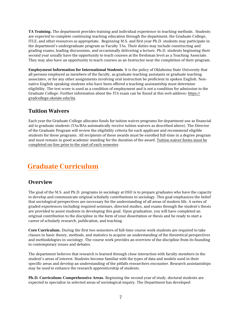**TA Training.** The department provides training and individual experience in teaching methods. Students are expected to complete continuing teaching education through the department, the Graduate College, ITLE, and other resources as appropriate. Beginning M.S. and first year Ph.D. students may participate in the department's undergraduate program as Faculty TAs. Their duties may include constructing and grading exams, leading discussions, and occasionally delivering a lecture. Ph.D. students beginning their second year usually have the opportunity to teach courses at the freshman level as a Teaching Associate. They may also have an opportunity to teach courses as an Instructor near the completion of their program.

**Employment Information for International Students**. It is the policy of Oklahoma State University that all persons employed as members of the faculty, as graduate teaching assistants or graduate teaching associates, or for any other assignments involving oral instruction be proficient in spoken English. Nonnative English speaking students who have been offered a teaching assistantship must determine eligibility. The test score is used as a condition of employment and is not a condition for admission to the Graduate College. Further information about the ITA exam can be found at this web address: https:// gradcollege.okstate.edu/ita.

### **Tuition Waivers**

Each year the Graduate College allocates funds for tuition waiver programs for department use as financial aid to graduate students (TAs/RAs automatically receive tuition waivers as described above). The Director of the Graduate Program will review the eligibility criteria for each applicant and recommend eligible students for these programs. All recipients of these awards must be enrolled full-time in a degree program and must remain in good academic standing for the duration of the award. Tuition waiver forms must be completed on-line prior to the start of each semester.

# **Graduate Curriculum**

## **Overview**

The goal of the M.S. and Ph.D. programs in sociology at OSU is to prepare graduates who have the capacity to develop and communicate original scholarly contributions to sociology. This goal emphasizes the belief that sociological perspectives are necessary for the understanding of all areas of modern life. A series of graded experiences including required seminars, directed studies, and exams through the student's thesis are provided to assist students in developing this goal. Upon graduation, you will have completed an original contribution to the discipline in the form of your dissertation or thesis and be ready to start a career of scholarly research, publication, and teaching.

**Core Curriculum.** During the first two semesters of full-time course work students are required to take classes in basic theory, methods, and statistics to acquire an understanding of the theoretical perspectives and methodologies in sociology. The course work provides an overview of the discipline from its founding to contemporary issues and debates.

The department believes that research is learned through close interaction with faculty members in the student's areas of interest. Students become familiar with the types of data and models used in their specific areas and develop an understanding of the pitfalls researchers encounter. Research assistantships may be used to enhance the research apprenticeship of students.

**Ph.D. Curriculum: Comprehensive Areas.** Beginning the second year of study, doctoral students are expected to specialize in selected areas of sociological inquiry. The Department has developed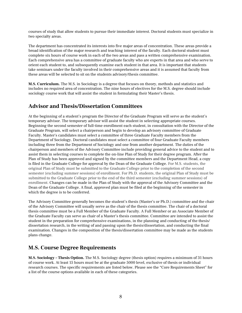courses of study that allow students to pursue their immediate interest. Doctoral students must specialize in two specialty areas.

The department has concentrated its interests into five major areas of concentration. These areas provide a broad identification of the major research and teaching interest of the faculty. Each doctoral student must complete six hours of course work in each of the two areas and pass a written comprehensive examination. Each comprehensive area has a committee of graduate faculty who are experts in that area and who serve to orient each student to, and subsequently examine each student in that area. It is important that students take seminars under the faculty involved in their comprehensive areas and it is assumed that faculty from these areas will be selected to sit on the students advisory/thesis committee.

**M.S. Curriculum.** The M.S. in Sociology is a degree that focuses on theory, methods and statistics and includes no required area of concentration. The nine hours of electives for the M.S. degree should include sociology course work that will assist the student in formulating their Master's thesis.

### **Advisor and Thesis/Dissertation Committees**

At the beginning of a student's program the Director of the Graduate Program will serve as the student's temporary advisor. The temporary advisor will assist the student in selecting appropriate courses. Beginning the second semester of full-time enrollment each student, in consultation with the Director of the Graduate Program, will select a chairperson and begin to develop an advisory committee of Graduate Faculty. Master's candidates must select a committee of three Graduate Faculty members from the Department of Sociology. Doctoral candidates must select a committee of four Graduate Faculty members including three from the Department of Sociology and one from another department. The duties of the chairperson and members of the Advisory Committee include providing general advice to the student and to assist them in selecting courses to complete the on-line Plan of Study for their degree program. After the Plan of Study has been approved and signed by the committee members and the Department Head, a copy is filed in the Graduate College for approval by the Dean of the Graduate College. For M.S. students, the original Plan of Study must be submitted to the Graduate College prior to the completion of the second semester (excluding summer sessions) of enrollment. For Ph.D. students, the original Plan of Study must be submitted to the Graduate College prior to the end of the third semester (excluding summer sessions) of enrollment. Changes can be made in the Plan of Study with the approval of the Advisory Committee and the Dean of the Graduate College. A final, approved plan must be filed at the beginning of the semester in which the degree is to be conferred.

The Advisory Committee generally becomes the student's thesis (Master's or Ph.D.) committee and the chair of the Advisory Committee will usually serve as the chair of the thesis committee. The chair of a doctoral thesis committee must be a Full Member of the Graduate Faculty. A Full Member or an Associate Member of the Graduate Faculty can serve as chair of a Master's thesis committee. Committee are intended to assist the student in the preparation for comprehensive examinations, in the planning and conducting of the thesis/ dissertation research, in the writing of and passing upon the thesis/dissertation, and conducting the final examination. Changes in the composition of the thesis/dissertation committee may be made as the students plans change.

## **M.S. Course Degree Requirements**

**M.S. Sociology – Thesis Option.** The M.S. Sociology degree (thesis option) requires a minimum of 31 hours of course work. At least 15 hours must be at the graduate 5000 level, exclusive of thesis or individual research courses. The specific requirements are listed below. Please see the "Core Requirements Sheet" for a list of the course options available in each of these categories.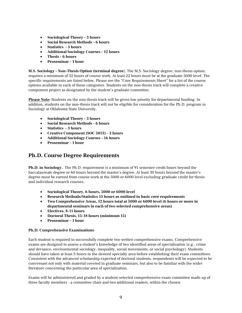- **Sociological Theory 3 hours**
- **Social Research Methods 6 hours**
- **Statistics 3 hours**
- **Additional Sociology Courses 12 hours**
- **Thesis 6 hours**
- **Proseminar – 1 hour**

**M.S. Sociology – Non-Thesis Option (terminal degree**). The M.S. Sociology degree, non-thesis option, requires a minimum of 32 hours of course work. At least 22 hours must be at the graduate 5000 level. The specific requirements are listed below. Please see the "Core Requirements Sheet" for a list of the course options available in each of these categories. Students on the non-thesis track will complete a creative component project as designated by the student's graduate committee.

**Please Note:** Students on the non-thesis track will be given low priority for departmental funding. In addition, students on the non-thesis track will not be eligible for consideration for the Ph.D. program in Sociology at Oklahoma State University.

- **Sociological Theory 3 hours**
- **Social Research Methods 6 hours**
- **Statistics 3 hours**
- **Creative Component (SOC 5013) – 3 hours**
- **Additional Sociology Courses 16 hours**
- **Proseminar – 1 hour**

#### **Ph.D. Course Degree Requirements**

**Ph.D. in Sociology.** The Ph.D. requirement is a minimum of 91 semester credit hours beyond the baccalaureate degree or 60 hours beyond the master's degree. At least 30 hours beyond the master's degree must be earned from course work at the 5000 or 6000 level excluding graduate credit for thesis and individual research courses.

- **Sociological Theory, 6 hours, 5000 or 6000 level**
- **Research Methods/Statistics 15 hours as outlined in basic core requirements**
- **Two Comprehensive Areas, 12 hours total at 5000 or 6000 level (6 hours or more in departmental seminars in each of two selected comprehensive areas)**
- **Electives, 8-11 hours**
- **Doctoral Thesis, 15-18 hours (minimum 15)**
- **Proseminar – 1 hour**

#### **Ph.D. Comprehensive Examinations**

Each student is required to successfully complete two written comprehensive exams. Comprehensive exams are designed to assess a student's knowledge of two identified areas of specialization (e.g., crime and deviance, environmental sociology, inequality, social movements, or social psychology). Students should have taken at least 3 hours in the desired specialty area before establishing their exam committees. Consistent with the advanced scholarship expected of doctoral students, respondents will be expected to be conversant not only with material covered in graduate seminars, but also to be familiar with the wider literature concerning the particular area of specialization.

Exams will be administered and graded by a student-selected comprehensive exam committee made up of three faculty members - a committee chair and two additional readers, within the chosen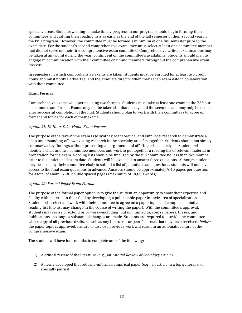specialty areas. Students wishing to make timely progress in our program should begin forming their committees and crafting their reading lists as early as the end of the fall semester of their second year in the PhD program. However, the committee must be formed a minimum of one full semester prior to the exam date. For the student's second comprehensive exam, they must select at least one committee member that did not serve on their first comprehensive exam committee. Comprehensive written examinations may be taken at any point during the year, contingent on the committee's availability. Students should plan to engage in communication with their committee chair and members throughout the comprehensive exam process.

In semesters in which comprehensive exams are taken, students must be enrolled for at least two credit hours and must notify Barbie Teel and the graduate director when they set an exam date in collaboration with their committee.

#### **Exam Format**

Comprehensive exams will operate using two formats. Students must take at least one exam in the 72 hour take home exam format. Exams may not be taken simultaneously, and the second exam may only be taken after successful completion of the first. Students should plan to work with their committees to agree on format and topics for each of their exams.

#### Option #1: 72 Hour Take-Home Exam Format

The purpose of the take-home exam is to synthesize theoretical and empirical research to demonstrate a deep understanding of how existing research in the specialty area fits together. Students should not simply summarize key findings without presenting an argument and offering critical analysis. Students will identify a chair and two committee members and work to put together a reading list of relevant material in preparation for the exam. Reading lists should be finalized by the full committee no less than two months prior to the anticipated exam date. Students will be expected to answer three questions. Although students may be asked by their committee chair to submit a list of potential exam questions, students will not have access to the final exam questions in advance. Answers should be approximately 9-10 pages per question for a total of about 27-30 double spaced pages (maximum of 10,000 words).

#### Option #2: Formal Paper Exam Format

The purpose of the formal paper option is to give the student an opportunity to show their expertise and facility with material in their field by developing a publishable paper in their area of specialization. Students will select and work with their committee to agree on a paper topic and compile a tentative reading list (the list may change in the course of writing the paper). With the committee's approval, students may revise or extend prior work—including, but not limited to, course papers, theses, and publications—so long as substantial changes are made. Students are required to provide the committee with a copy of all previous drafts, as well as any instructor or peer feedback that they have received, before the paper topic is approved. Failure to disclose previous work will result in an automatic failure of the comprehensive exam.

The student will have four months to complete one of the following:

- 1) A critical review of the literature (e.g., an Annual Review of Sociology article)
- 2) A newly developed theoretically-informed empirical paper (e.g., an article in a top generalist or specialty journal)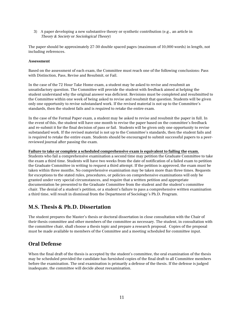3) A paper developing a new substantive theory or synthetic contribution (e.g., an article in Theory & Society or Sociological Theory)

The paper should be approximately 27-30 double spaced pages (maximum of 10,000 words) in length, not including references.

#### **Assessment**

Based on the assessment of each exam, the Committee must reach one of the following conclusions: Pass with Distinction, Pass, Revise and Resubmit, or Fail.

In the case of the 72 Hour Take Home exam, a student may be asked to revise and resubmit an unsatisfactory question. The Committee will provide the student with feedback aimed at helping the student understand why the original answer was deficient. Revisions must be completed and resubmitted to the Committee within one week of being asked to revise and resubmit that question. Students will be given only one opportunity to revise substandard work. If the revised material is not up to the Committee's standards, then the student fails and is required to retake the entire exam.

In the case of the Formal Paper exam, a student may be asked to revise and resubmit the paper in full. In the event of this, the student will have one month to revise the paper based on the committee's feedback and re-submit it for the final decision of pass or fail. Students will be given only one opportunity to revise substandard work. If the revised material is not up to the Committee's standards, then the student fails and is required to retake the entire exam. Students should be encouraged to submit successful papers to a peerreviewed journal after passing the exam.

#### **Failure to take or complete a scheduled comprehensive exam is equivalent to failing the exam.**

Students who fail a comprehensive examination a second time may petition the Graduate Committee to take the exam a third time. Students will have two weeks from the date of notification of a failed exam to petition the Graduate Committee in writing to request a third attempt. If the petition is approved, the exam must be taken within three months. No comprehensive examination may be taken more than three times. Requests for exceptions to the stated rules, procedures, or policies on comprehensive examinations will only be granted under very special circumstances, and require that a written petition and appropriate documentation be presented to the Graduate Committee from the student and the student's committee chair. The denial of a student's petition, or a student's failure to pass a comprehensive written examination a third time, will result in dismissal from the Department of Sociology's Ph.D. Program.

#### **M.S. Thesis & Ph.D. Dissertation**

The student prepares the Master's thesis or doctoral dissertation in close consultation with the Chair of their thesis committee and other members of the committee as necessary. The student, in consultation with the committee chair, shall choose a thesis topic and prepare a research proposal. Copies of the proposal must be made available to members of the Committee and a meeting scheduled for committee input.

#### **Oral Defense**

When the final draft of the thesis is accepted by the student's committee, the oral examination of the thesis may be scheduled provided the candidate has furnished copies of the final draft to all Committee members before the examination. The oral examination is primarily a defense of the thesis. If the defense is judged inadequate, the committee will decide about reexamination.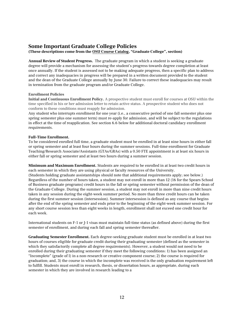#### **Some Important Graduate College Policies**

**(These descriptions come from the OSU Course Catalog, "Graduate College", section)** 

**Annual Review of Student Progress.** The graduate program in which a student is seeking a graduate degree will provide a mechanism for assessing the student's progress towards degree completion at least once annually. If the student is assessed not to be making adequate progress, then a specific plan to address and correct any inadequacies in progress will be prepared in a written document provided to the student and the dean of the Graduate College annually by June 30. Failure to correct these inadequacies may result in termination from the graduate program and/or Graduate College.

#### **Enrollment Policies**

**Initial and Continuous Enrollment Policy.** A prospective student must enroll for courses at OSU within the time specified in his or her admission letter to retain active status. A prospective student who does not conform to these conditions must reapply for admission.

Any student who interrupts enrollment for one year (i.e., a consecutive period of one fall semester plus one spring semester plus one summer term) must re-apply for admission, and will be subject to the regulations in effect at the time of reapplication. See section 6.6 below for additional doctoral candidacy enrollment requirements.

#### **Full-Time Enrollment.**

To be considered enrolled full time, a graduate student must be enrolled in at least nine hours in either fall or spring semester and at least four hours during the summer sessions. Full-time enrollment for Graduate Teaching/Research Associate/Assistants (GTAs/GRAs) with a 0.50 FTE appointment is at least six hours in either fall or spring semester and at least two hours during a summer session.

**Minimum and Maximum Enrollment.** Students are required to be enrolled in at least two credit hours in each semester in which they are using physical or faculty resources of the University. (Students holding graduate assistantships should note that additional requirements apply; see below.) Regardless of the number of hours taken, a student may not enroll in more than 12 (16 for the Spears School of Business graduate programs) credit hours in the fall or spring semester without permission of the dean of the Graduate College. During the summer session, a student may not enroll in more than nine credit hours taken in any session during the eight-week summer period. No more than three credit hours can be taken during the first summer session (intersession). Summer intersession is defined as any course that begins after the end of the spring semester and ends prior to the beginning of the eight-week summer session. For any short course session less than eight weeks in length, enrollment shall not exceed one credit hour for each week.

International students on F-1 or J-1 visas must maintain full-time status (as defined above) during the first semester of enrollment, and during each fall and spring semester thereafter.

**Graduating Semester Enrollment.** Each degree-seeking graduate student must be enrolled in at least two hours of courses eligible for graduate credit during their graduating semester (defined as the semester in which they satisfactorily complete all degree requirements). However, a student would not need to be enrolled during their graduating semester if they meet the following conditions: 1) has been assigned an "Incomplete" (grade of I) in a non-research or creative component course; 2) the course is required for graduation; and, 3) the course in which the incomplete was received is the only graduation requirement left to fulfill. Students must enroll in research, thesis, or dissertation hours, as appropriate, during each semester in which they are involved in research leading to a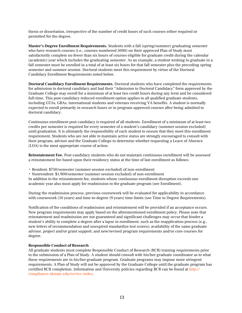thesis or dissertation, irrespective of the number of credit hours of such courses either required or permitted for the degree.

**Master's Degree Enrollment Requirements.** Students with a fall (spring/summer) graduating semester who have research courses (i.e., courses numbered 5000) on their approved Plan of Study must satisfactorily complete no fewer than six hours of courses eligible for graduate credit during the calendar (academic) year which includes the graduating semester. As an example, a student wishing to graduate in a fall semester must be enrolled in a total of at least six hours for that fall semester plus the preceding spring semester and summer session. Doctoral students meet this requirement by virtue of the Doctoral Candidacy Enrollment Requirements noted below.

**Doctoral Candidacy Enrollment Requirements.** Doctoral students who have completed the requirements for admission to doctoral candidacy and had their "Admission to Doctoral Candidacy" form approved by the Graduate College may enroll for a minimum of at least two credit hours during any term and be considered full-time. This post-candidacy reduced enrollment option applies to all qualified graduate students, including GTAs, GRAs, international students and veterans receiving VA benefits. A student is normally expected to enroll primarily in research hours or in program-approved courses after being admitted to doctoral candidacy.

Continuous enrollment post-candidacy is required of all students. Enrollment of a minimum of at least two credits per semester is required for every semester of a student's candidacy (summer session excluded) until graduation. It is ultimately the responsibility of each student to ensure that they meet this enrollment requirement. Students who are not able to maintain active status are strongly encouraged to consult with their program, advisor and the Graduate College to determine whether requesting a Leave of Absence (LOA) is the most appropriate course of action.

**Reinstatement Fee.** Post-candidacy students who do not maintain continuous enrollment will be assessed a reinstatement fee based upon their residency status at the time of last enrollment as follows:

- Resident: \$750/semester (summer session excluded) of non-enrollment
- Nonresident: \$1,900/semester (summer session excluded) of non-enrollment

In addition to the reinstatement fee, students whose continuous enrollment disruption exceeds one academic year also must apply for readmission to the graduate program (see Enrollment).

During the readmission process, previous coursework will be evaluated for applicability in accordance with coursework (10 years) and time-to-degree (9 years) time limits (see Time to Degree Requirements).

Notification of the conditions of readmission and reinstatement will be provided if an acceptance occurs. New program requirements may apply based on the aforementioned enrollment policy. Please note that reinstatement and readmission are not guaranteed and significant challenges may occur that hinder a student's ability to complete a degree after a lapse in enrollment, such as the reapplication process (e.g., new letters of recommendation and unexpired standardize test scores); availability of the same graduate advisor, project and/or grant support; and new/revised program requirements and/or core courses for degree.

#### **Responsible Conduct of Research**

All graduate students must complete Responsible Conduct of Research (RCR) training requirements prior to the submission of a Plan of Study. A student should consult with his/her graduate coordinator as to what these requirements are in his/her graduate program. Graduate programs may impose more stringent requirements. A Plan of Study will not be approved by the Graduate College until the graduate program has [certified RCR completion. Information and University policies regarding RCR can be found at](http://compliance.okstate.edu/rcr/rcr-index) http:// compliance.okstate.edu/rcr/rcr-index.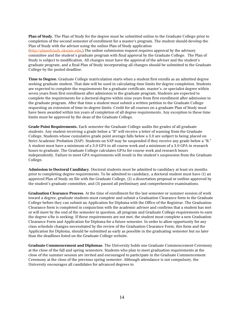**Plan of Study.** The Plan of Study for the degree must be submitted online to the Graduate College prior to completion of the second semester of enrollment for a master's program. The student should develop the Plan of Study with the advisor using the online Plan of Study application [\(http://planofstudy.okstate.edu.](http://planofstudy.okstate.edu/)) The online submission request requires approval by the advisory committee and the student's graduate program with final approval by the Graduate College. The Plan of Study is subject to modification. All changes must have the approval of the adviser and the student's graduate program, and a final Plan of Study incorporating all changes should be submitted to the Graduate College by the posted deadline.

**Time to Degree.** Graduate College matriculation starts when a student first enrolls as an admitted degree seeking graduate student. That date will be used in calculating time limits for degree completion. Students are expected to complete the requirements for a graduate certificate, master's, or specialist degree within seven years from first enrollment after admission to the graduate program. Students are expected to complete the requirements for a doctoral degree within nine years from first enrollment after admission to the graduate program. After that time a student must submit a written petition to the Graduate College requesting an extension of time-to-degree limits. Credit for all courses on a graduate Plan of Study must have been awarded within ten years of completion of all degree requirements. Any exception to these time limits must be approved by the dean of the Graduate College.

**Grade Point Requirements.** Each semester the Graduate College audits the grades of all graduate students. Any student receiving a grade below a "B" will receive a letter of warning from the Graduate College. Students whose cumulative grade point average falls below a 3.0 are subject to being placed on Strict Academic Probation (SAP). Students on SAP may be suspended if they receive any grade below a "B." A student must have a minimum of a 3.0 GPA in all course work and a minimum of a 3.0 GPA in research hours to graduate. The Graduate College calculates GPAs for course work and research hours independently. Failure to meet GPA requirements will result in the student's suspension from the Graduate College.

**Admission to Doctoral Candidacy**. Doctoral students must be admitted to candidacy at least six months prior to completing degree requirements. To be admitted to candidacy, a doctoral student must have (1) an approved Plan of Study on file with the Graduate College, (2) a dissertation proposal or outline approved by the student's graduate committee, and (3) passed all preliminary and comprehensive examinations.

**Graduation Clearance Process**. At the time of enrollment for the last semester or summer session of work toward a degree, graduate students must complete and submit a Graduation Clearance form to the Graduate College before they can submit an Application for Diploma with the Office of the Registrar. The Graduation Clearance form is completed in conjunction with the academic adviser and confirms that a student has met or will meet by the end of the semester in question, all program and Graduate College requirements to earn the degree s/he is seeking. If these requirements are not met, the student must complete a new Graduation Clearance Form and Application for Diploma for a future semester. In order to allow opportunity for any class schedule changes necessitated by the review of the Graduation Clearance Form, this form and the Application for Diploma, should be submitted as early as possible in the graduating semester but no later than the deadlines listed on the Graduate College website.

**Graduate Commencement and Diplomas**. The University holds one Graduate Commencement Ceremony at the close of the fall and spring semesters. Students who plan to meet graduation requirements at the close of the summer session are invited and encouraged to participate in the Graduate Commencement Ceremony at the close of the previous spring semester. Although attendance is not compulsory, the University encourages all candidates for advanced degrees to